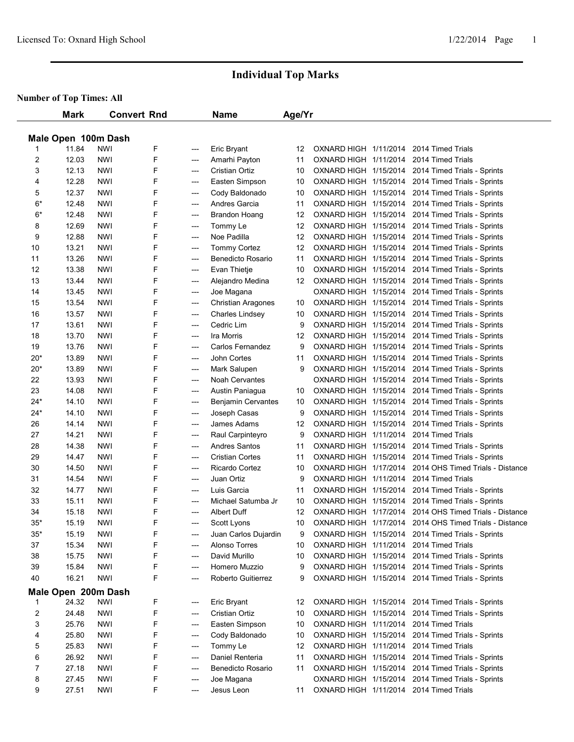# **Individual Top Marks**

## **umber of Top Times: All**

|       | <b>Mark</b>         |                   | <b>Convert Rnd</b> |            | Name                      | Age/Yr |                       |                                                                                                             |
|-------|---------------------|-------------------|--------------------|------------|---------------------------|--------|-----------------------|-------------------------------------------------------------------------------------------------------------|
|       | Male Open 100m Dash |                   |                    |            |                           |        |                       |                                                                                                             |
|       | 11.84               | <b>NWI</b>        | F                  | ---        | Eric Bryant               | 12     |                       | OXNARD HIGH 1/11/2014 2014 Timed Trials                                                                     |
| 2     | 12.03               | <b>NWI</b>        | F                  | ---        | Amarhi Payton             | 11     |                       | OXNARD HIGH 1/11/2014 2014 Timed Trials                                                                     |
| 3     | 12.13               | <b>NWI</b>        | F                  | ---        | <b>Cristian Ortiz</b>     | 10     |                       | OXNARD HIGH 1/15/2014 2014 Timed Trials - Sprints                                                           |
| 4     | 12.28               | <b>NWI</b>        | F                  | ---        | Easten Simpson            | 10     |                       | OXNARD HIGH 1/15/2014 2014 Timed Trials - Sprints                                                           |
| 5     | 12.37               | <b>NWI</b>        | F                  | ---        | Cody Baldonado            | 10     |                       | OXNARD HIGH 1/15/2014 2014 Timed Trials - Sprints                                                           |
| $6*$  | 12.48               | <b>NWI</b>        | F                  | ---        | Andres Garcia             | 11     |                       | OXNARD HIGH 1/15/2014 2014 Timed Trials - Sprints                                                           |
| 6*    | 12.48               | NWI               | F                  | ---        | Brandon Hoang             | 12     |                       | OXNARD HIGH 1/15/2014 2014 Timed Trials - Sprints                                                           |
| 8     | 12.69               | <b>NWI</b>        | F                  | ---        | Tommy Le                  | 12     |                       | OXNARD HIGH 1/15/2014 2014 Timed Trials - Sprints                                                           |
| 9     | 12.88               | NWI               | F                  | ---        | Noe Padilla               | 12     |                       | OXNARD HIGH 1/15/2014 2014 Timed Trials - Sprints                                                           |
| 10    | 13.21               | <b>NWI</b>        | F                  | ---        | <b>Tommy Cortez</b>       | 12     |                       | OXNARD HIGH 1/15/2014 2014 Timed Trials - Sprints                                                           |
| 11    | 13.26               | <b>NWI</b>        | F                  | ---        | <b>Benedicto Rosario</b>  | 11     |                       | OXNARD HIGH 1/15/2014 2014 Timed Trials - Sprints                                                           |
| 12    | 13.38               | <b>NWI</b>        | F                  | ---        | Evan Thietje              | 10     |                       | OXNARD HIGH 1/15/2014 2014 Timed Trials - Sprints                                                           |
| 13    | 13.44               | <b>NWI</b>        | F                  | ---        | Alejandro Medina          | 12     |                       | OXNARD HIGH 1/15/2014 2014 Timed Trials - Sprints                                                           |
| 14    | 13.45               | NWI               | F                  | ---        | Joe Magana                |        |                       | OXNARD HIGH 1/15/2014 2014 Timed Trials - Sprints                                                           |
| 15    | 13.54               | NWI               | F                  | ---        | <b>Christian Aragones</b> | 10     |                       | OXNARD HIGH 1/15/2014 2014 Timed Trials - Sprints                                                           |
| 16    | 13.57               | NWI               | F                  | ---        | Charles Lindsey           | 10     |                       | OXNARD HIGH 1/15/2014 2014 Timed Trials - Sprints                                                           |
| 17    | 13.61               | <b>NWI</b>        | F                  | ---        | Cedric Lim                | 9      |                       | OXNARD HIGH 1/15/2014 2014 Timed Trials - Sprints                                                           |
| 18    | 13.70               | <b>NWI</b>        | F                  | ---        | Ira Morris                | 12     |                       | OXNARD HIGH 1/15/2014 2014 Timed Trials - Sprints                                                           |
| 19    | 13.76               | <b>NWI</b>        | F                  | ---        | Carlos Fernandez          | 9      | OXNARD HIGH 1/15/2014 | 2014 Timed Trials - Sprints                                                                                 |
| $20*$ | 13.89               | <b>NWI</b>        | F                  | ---        | John Cortes               | 11     | OXNARD HIGH 1/15/2014 | 2014 Timed Trials - Sprints                                                                                 |
| $20*$ | 13.89               | <b>NWI</b>        | F                  | ---        | Mark Salupen              | 9      |                       | OXNARD HIGH 1/15/2014 2014 Timed Trials - Sprints                                                           |
| 22    | 13.93               | <b>NWI</b>        | F                  | ---        | <b>Noah Cervantes</b>     |        |                       | OXNARD HIGH 1/15/2014 2014 Timed Trials - Sprints                                                           |
| 23    | 14.08               | NWI               | F                  | ---        | Austin Paniagua           | 10     |                       | OXNARD HIGH 1/15/2014 2014 Timed Trials - Sprints                                                           |
| $24*$ | 14.10               | <b>NWI</b>        | F                  | ---        | Benjamin Cervantes        | 10     |                       | OXNARD HIGH 1/15/2014 2014 Timed Trials - Sprints                                                           |
| $24*$ | 14.10               | NWI               | F                  | ---        | Joseph Casas              | 9      |                       | OXNARD HIGH 1/15/2014 2014 Timed Trials - Sprints                                                           |
| 26    | 14.14               | NWI               | F                  |            | James Adams               | 12     |                       | OXNARD HIGH 1/15/2014 2014 Timed Trials - Sprints                                                           |
| 27    | 14.21               | NWI               | F                  | ---        | Raul Carpinteyro          | 9      |                       | OXNARD HIGH 1/11/2014 2014 Timed Trials                                                                     |
| 28    | 14.38               | <b>NWI</b>        | F                  | ---<br>--- | <b>Andres Santos</b>      | 11     |                       | OXNARD HIGH 1/15/2014 2014 Timed Trials - Sprints                                                           |
| 29    | 14.47               | NWI               | F                  | ---        | <b>Cristian Cortes</b>    | 11     |                       | OXNARD HIGH 1/15/2014 2014 Timed Trials - Sprints                                                           |
| 30    | 14.50               | <b>NWI</b>        | F                  | ---        | Ricardo Cortez            | 10     |                       | OXNARD HIGH 1/17/2014 2014 OHS Timed Trials - Distance                                                      |
| 31    | 14.54               | <b>NWI</b>        | F                  | ---        | Juan Ortiz                | 9      |                       | OXNARD HIGH 1/11/2014 2014 Timed Trials                                                                     |
| 32    | 14.77               | <b>NWI</b>        | F                  |            | Luis Garcia               | 11     |                       | OXNARD HIGH 1/15/2014 2014 Timed Trials - Sprints                                                           |
| 33    | 15.11               |                   | F                  | ---        | Michael Satumba Jr        | 10     |                       |                                                                                                             |
| 34    | 15.18               | NWI<br><b>NWI</b> | F                  | ---<br>--- | Albert Duff               | 12     |                       | OXNARD HIGH 1/15/2014 2014 Timed Trials - Sprints<br>OXNARD HIGH 1/17/2014 2014 OHS Timed Trials - Distance |
| $35*$ | 15.19               | <b>NWI</b>        | F                  |            | Scott Lyons               | 10     |                       | OXNARD HIGH 1/17/2014 2014 OHS Timed Trials - Distance                                                      |
|       |                     |                   |                    | ---        | Juan Carlos Dujardin      |        |                       |                                                                                                             |
| $35*$ | 15.19               | <b>NWI</b>        | F                  | ---        |                           | 9      |                       | OXNARD HIGH 1/15/2014 2014 Timed Trials - Sprints                                                           |
| 37    | 15.34               | <b>NWI</b>        | F                  | ---        | Alonso Torres             | 10     |                       | OXNARD HIGH 1/11/2014 2014 Timed Trials                                                                     |
| 38    | 15.75               | <b>NWI</b>        | F                  | ---        | David Murillo             | 10     |                       | OXNARD HIGH 1/15/2014 2014 Timed Trials - Sprints                                                           |
| 39    | 15.84               | <b>NWI</b>        | F                  | ---        | Homero Muzzio             | 9      |                       | OXNARD HIGH 1/15/2014 2014 Timed Trials - Sprints                                                           |
| 40    | 16.21               | <b>NWI</b>        | F                  | ---        | Roberto Guitierrez        | 9      |                       | OXNARD HIGH 1/15/2014 2014 Timed Trials - Sprints                                                           |
|       | Male Open 200m Dash |                   |                    |            |                           |        |                       |                                                                                                             |
| 1     | 24.32               | <b>NWI</b>        | F                  | ---        | Eric Bryant               | 12     |                       | OXNARD HIGH 1/15/2014 2014 Timed Trials - Sprints                                                           |
| 2     | 24.48               | <b>NWI</b>        | F                  | ---        | <b>Cristian Ortiz</b>     | 10     |                       | OXNARD HIGH 1/15/2014 2014 Timed Trials - Sprints                                                           |
| 3     | 25.76               | <b>NWI</b>        | F                  | ---        | Easten Simpson            | 10     |                       | OXNARD HIGH 1/11/2014 2014 Timed Trials                                                                     |
| 4     | 25.80               | <b>NWI</b>        | F                  | ---        | Cody Baldonado            | 10     |                       | OXNARD HIGH 1/15/2014 2014 Timed Trials - Sprints                                                           |
| 5     | 25.83               | <b>NWI</b>        | F                  | ---        | Tommy Le                  | 12     |                       | OXNARD HIGH 1/11/2014 2014 Timed Trials                                                                     |
| 6     | 26.92               | NWI               | F                  | ---        | Daniel Renteria           | 11     |                       | OXNARD HIGH 1/15/2014 2014 Timed Trials - Sprints                                                           |
| 7     | 27.18               | <b>NWI</b>        | F                  | ---        | <b>Benedicto Rosario</b>  | 11     |                       | OXNARD HIGH 1/15/2014 2014 Timed Trials - Sprints                                                           |
| 8     | 27.45               | <b>NWI</b>        | F                  | ---        | Joe Magana                |        |                       | OXNARD HIGH 1/15/2014 2014 Timed Trials - Sprints                                                           |
| 9     | 27.51               | NWI               | F                  | ---        | Jesus Leon                | 11     |                       | OXNARD HIGH 1/11/2014 2014 Timed Trials                                                                     |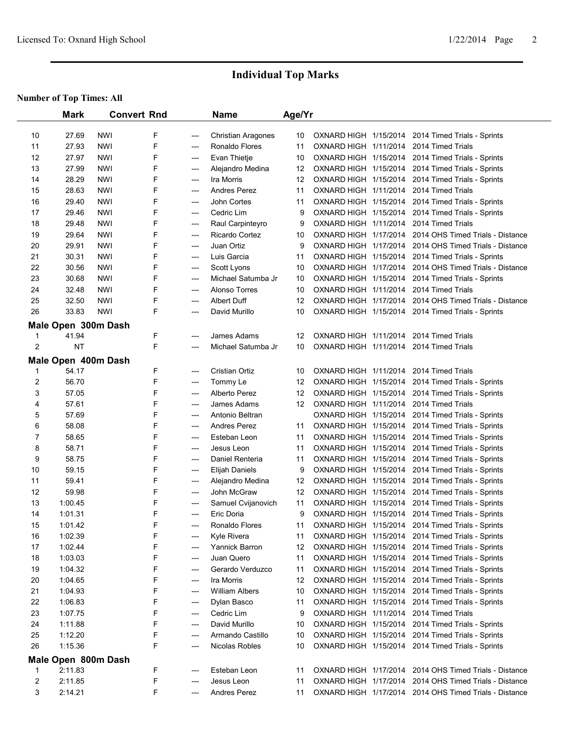# **Individual Top Marks**

### **umber of Top Times: All**

|                | <b>Mark</b>         |            | <b>Convert Rnd</b> |       | <b>Name</b>               | Age/Yr |                       |                                                        |
|----------------|---------------------|------------|--------------------|-------|---------------------------|--------|-----------------------|--------------------------------------------------------|
|                |                     |            |                    |       |                           |        |                       |                                                        |
| 10             | 27.69               | NWI        | F                  | ---   | <b>Christian Aragones</b> | 10     | OXNARD HIGH 1/15/2014 | 2014 Timed Trials - Sprints                            |
| 11             | 27.93               | NWI        | F                  | ---   | Ronaldo Flores            | 11     | OXNARD HIGH 1/11/2014 | 2014 Timed Trials                                      |
| 12             | 27.97               | NWI        | F                  | ---   | Evan Thietje              | 10     | OXNARD HIGH 1/15/2014 | 2014 Timed Trials - Sprints                            |
| 13             | 27.99               | NWI        | F                  | ---   | Alejandro Medina          | 12     | OXNARD HIGH 1/15/2014 | 2014 Timed Trials - Sprints                            |
| 14             | 28.29               | NWI        | F                  | ---   | Ira Morris                | 12     | OXNARD HIGH 1/15/2014 | 2014 Timed Trials - Sprints                            |
| 15             | 28.63               | NWI        | F                  | ---   | <b>Andres Perez</b>       | 11     | OXNARD HIGH 1/11/2014 | 2014 Timed Trials                                      |
| 16             | 29.40               | NWI        | F                  | ---   | John Cortes               | 11     | OXNARD HIGH 1/15/2014 | 2014 Timed Trials - Sprints                            |
| 17             | 29.46               | NWI        | F                  | ---   | Cedric Lim                | 9      | OXNARD HIGH 1/15/2014 | 2014 Timed Trials - Sprints                            |
| 18             | 29.48               | <b>NWI</b> | F                  | ---   | Raul Carpinteyro          | 9      | OXNARD HIGH 1/11/2014 | 2014 Timed Trials                                      |
| 19             | 29.64               | NWI        | F                  | ---   | Ricardo Cortez            | 10     | OXNARD HIGH 1/17/2014 | 2014 OHS Timed Trials - Distance                       |
| 20             | 29.91               | <b>NWI</b> | F                  | ---   | Juan Ortiz                | 9      | OXNARD HIGH 1/17/2014 | 2014 OHS Timed Trials - Distance                       |
| 21             | 30.31               | <b>NWI</b> | F                  | $---$ | Luis Garcia               | 11     |                       | OXNARD HIGH 1/15/2014 2014 Timed Trials - Sprints      |
| 22             | 30.56               | <b>NWI</b> | F                  | ---   | Scott Lyons               | 10     | OXNARD HIGH 1/17/2014 | 2014 OHS Timed Trials - Distance                       |
| 23             | 30.68               | NWI        | F                  | ---   | Michael Satumba Jr        | 10     | OXNARD HIGH 1/15/2014 | 2014 Timed Trials - Sprints                            |
| 24             | 32.48               | NWI        | F                  | ---   | Alonso Torres             | 10     |                       | OXNARD HIGH 1/11/2014 2014 Timed Trials                |
| 25             | 32.50               | NWI        | F                  | ---   | Albert Duff               | 12     |                       | OXNARD HIGH 1/17/2014 2014 OHS Timed Trials - Distance |
| 26             | 33.83               | <b>NWI</b> | F                  | ---   | David Murillo             | 10     |                       | OXNARD HIGH 1/15/2014 2014 Timed Trials - Sprints      |
|                | Male Open 300m Dash |            |                    |       |                           |        |                       |                                                        |
| 1              | 41.94               |            | F                  | ---   | James Adams               | 12     | OXNARD HIGH 1/11/2014 | 2014 Timed Trials                                      |
| $\overline{2}$ | <b>NT</b>           |            | F                  | ---   | Michael Satumba Jr        | 10     |                       | OXNARD HIGH 1/11/2014 2014 Timed Trials                |
|                | Male Open 400m Dash |            |                    |       |                           |        |                       |                                                        |
| 1              | 54.17               |            | F                  | $---$ | <b>Cristian Ortiz</b>     | 10     | OXNARD HIGH 1/11/2014 | 2014 Timed Trials                                      |
| $\overline{2}$ | 56.70               |            | F                  | ---   | Tommy Le                  | 12     | OXNARD HIGH 1/15/2014 | 2014 Timed Trials - Sprints                            |
| 3              | 57.05               |            | F                  | ---   | Alberto Perez             | 12     | OXNARD HIGH 1/15/2014 | 2014 Timed Trials - Sprints                            |
| 4              | 57.61               |            | F                  | ---   | James Adams               | 12     | OXNARD HIGH 1/11/2014 | 2014 Timed Trials                                      |
| 5              | 57.69               |            | F                  | ---   | Antonio Beltran           |        | OXNARD HIGH 1/15/2014 | 2014 Timed Trials - Sprints                            |
| 6              | 58.08               |            | F                  | ---   | <b>Andres Perez</b>       | 11     | OXNARD HIGH 1/15/2014 | 2014 Timed Trials - Sprints                            |
| 7              | 58.65               |            | F                  | ---   | Esteban Leon              | 11     | OXNARD HIGH 1/15/2014 | 2014 Timed Trials - Sprints                            |
| 8              | 58.71               |            | F                  | ---   | Jesus Leon                | 11     |                       | OXNARD HIGH 1/15/2014 2014 Timed Trials - Sprints      |
| 9              | 58.75               |            | F                  | $---$ | Daniel Renteria           | 11     |                       | OXNARD HIGH 1/15/2014 2014 Timed Trials - Sprints      |
| 10             | 59.15               |            | F                  | ---   | Elijah Daniels            | 9      | OXNARD HIGH 1/15/2014 | 2014 Timed Trials - Sprints                            |
| 11             | 59.41               |            | F                  | ---   | Alejandro Medina          | 12     | OXNARD HIGH 1/15/2014 | 2014 Timed Trials - Sprints                            |
| 12             | 59.98               |            | F                  | ---   | John McGraw               | 12     |                       | OXNARD HIGH 1/15/2014 2014 Timed Trials - Sprints      |
| 13             | 1:00.45             |            | F                  | ---   | Samuel Cvijanovich        | 11     |                       | OXNARD HIGH 1/15/2014 2014 Timed Trials - Sprints      |
| 14             | 1:01.31             |            | F                  | $---$ | Eric Doria                | 9      |                       | OXNARD HIGH 1/15/2014 2014 Timed Trials - Sprints      |
| 15             | 1:01.42             |            | F                  | ---   | Ronaldo Flores            | 11     | OXNARD HIGH 1/15/2014 | 2014 Timed Trials - Sprints                            |
| 16             | 1:02.39             |            | F                  | ---   | Kyle Rivera               | 11     |                       | OXNARD HIGH 1/15/2014 2014 Timed Trials - Sprints      |
| 17             | 1:02.44             |            | F                  | ---   | Yannick Barron            | 12     |                       | OXNARD HIGH 1/15/2014 2014 Timed Trials - Sprints      |
| 18             | 1:03.03             |            | F                  | ---   | Juan Quero                | 11     |                       | OXNARD HIGH 1/15/2014 2014 Timed Trials - Sprints      |
| 19             | 1:04.32             |            | F                  | ---   | Gerardo Verduzco          | 11     | OXNARD HIGH 1/15/2014 | 2014 Timed Trials - Sprints                            |
| 20             | 1:04.65             |            | F                  | ---   | Ira Morris                | 12     | OXNARD HIGH 1/15/2014 | 2014 Timed Trials - Sprints                            |
| 21             | 1:04.93             |            | F                  | ---   | <b>William Albers</b>     | 10     |                       | OXNARD HIGH 1/15/2014 2014 Timed Trials - Sprints      |
| 22             | 1:06.83             |            | F                  | ---   | Dylan Basco               | 11     | OXNARD HIGH 1/15/2014 | 2014 Timed Trials - Sprints                            |
| 23             | 1:07.75             |            | F                  | ---   | Cedric Lim                | 9      | OXNARD HIGH 1/11/2014 | 2014 Timed Trials                                      |
| 24             | 1:11.88             |            | F                  | ---   | David Murillo             | 10     | OXNARD HIGH 1/15/2014 | 2014 Timed Trials - Sprints                            |
| 25             | 1:12.20             |            | F                  | ---   | Armando Castillo          | 10     |                       | OXNARD HIGH 1/15/2014 2014 Timed Trials - Sprints      |
| 26             | 1:15.36             |            | F                  | ---   | Nicolas Robles            | 10     |                       | OXNARD HIGH 1/15/2014 2014 Timed Trials - Sprints      |
|                | Male Open 800m Dash |            |                    |       |                           |        |                       |                                                        |
| $\mathbf{1}$   | 2:11.83             |            | F                  |       | Esteban Leon              | 11     | OXNARD HIGH 1/17/2014 | 2014 OHS Timed Trials - Distance                       |
| 2              | 2:11.85             |            | F                  | ---   | Jesus Leon                | 11     | OXNARD HIGH 1/17/2014 | 2014 OHS Timed Trials - Distance                       |
| 3              | 2:14.21             |            | F                  | ---   | <b>Andres Perez</b>       | 11     |                       | OXNARD HIGH 1/17/2014 2014 OHS Timed Trials - Distance |
|                |                     |            |                    |       |                           |        |                       |                                                        |